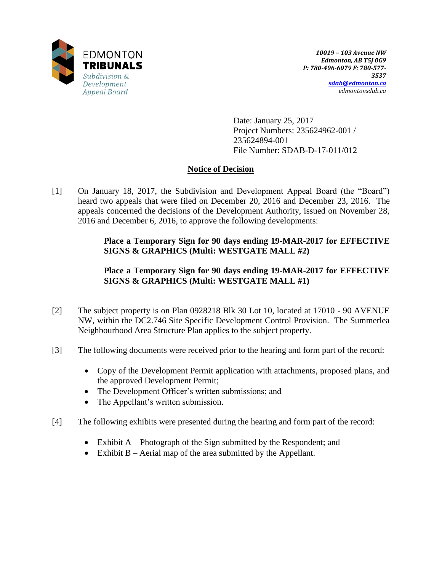

Date: January 25, 2017 Project Numbers: 235624962-001 / 235624894-001 File Number: SDAB-D-17-011/012

# **Notice of Decision**

[1] On January 18, 2017, the Subdivision and Development Appeal Board (the "Board") heard two appeals that were filed on December 20, 2016 and December 23, 2016. The appeals concerned the decisions of the Development Authority, issued on November 28, 2016 and December 6, 2016, to approve the following developments:

## **Place a Temporary Sign for 90 days ending 19-MAR-2017 for EFFECTIVE SIGNS & GRAPHICS (Multi: WESTGATE MALL #2)**

# **Place a Temporary Sign for 90 days ending 19-MAR-2017 for EFFECTIVE SIGNS & GRAPHICS (Multi: WESTGATE MALL #1)**

- [2] The subject property is on Plan 0928218 Blk 30 Lot 10, located at 17010 90 AVENUE NW, within the DC2.746 Site Specific Development Control Provision. The Summerlea Neighbourhood Area Structure Plan applies to the subject property.
- [3] The following documents were received prior to the hearing and form part of the record:
	- Copy of the Development Permit application with attachments, proposed plans, and the approved Development Permit;
	- The Development Officer's written submissions; and
	- The Appellant's written submission.
- [4] The following exhibits were presented during the hearing and form part of the record:
	- Exhibit  $A$  Photograph of the Sign submitted by the Respondent; and
	- $\bullet$  Exhibit B Aerial map of the area submitted by the Appellant.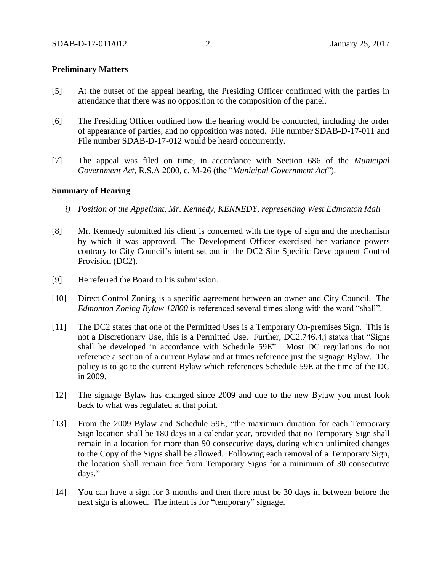### **Preliminary Matters**

- [5] At the outset of the appeal hearing, the Presiding Officer confirmed with the parties in attendance that there was no opposition to the composition of the panel.
- [6] The Presiding Officer outlined how the hearing would be conducted, including the order of appearance of parties, and no opposition was noted. File number SDAB-D-17-011 and File number SDAB-D-17-012 would be heard concurrently.
- [7] The appeal was filed on time, in accordance with Section 686 of the *Municipal Government Act*, R.S.A 2000, c. M-26 (the "*Municipal Government Act*").

### **Summary of Hearing**

- *i) Position of the Appellant, Mr. Kennedy, KENNEDY, representing West Edmonton Mall*
- [8] Mr. Kennedy submitted his client is concerned with the type of sign and the mechanism by which it was approved. The Development Officer exercised her variance powers contrary to City Council's intent set out in the DC2 Site Specific Development Control Provision (DC2).
- [9] He referred the Board to his submission.
- [10] Direct Control Zoning is a specific agreement between an owner and City Council. The *Edmonton Zoning Bylaw 12800* is referenced several times along with the word "shall".
- [11] The DC2 states that one of the Permitted Uses is a Temporary On-premises Sign. This is not a Discretionary Use, this is a Permitted Use. Further, DC2.746.4.j states that "Signs shall be developed in accordance with Schedule 59E". Most DC regulations do not reference a section of a current Bylaw and at times reference just the signage Bylaw. The policy is to go to the current Bylaw which references Schedule 59E at the time of the DC in 2009.
- [12] The signage Bylaw has changed since 2009 and due to the new Bylaw you must look back to what was regulated at that point.
- [13] From the 2009 Bylaw and Schedule 59E, "the maximum duration for each Temporary Sign location shall be 180 days in a calendar year, provided that no Temporary Sign shall remain in a location for more than 90 consecutive days, during which unlimited changes to the Copy of the Signs shall be allowed. Following each removal of a Temporary Sign, the location shall remain free from Temporary Signs for a minimum of 30 consecutive days."
- [14] You can have a sign for 3 months and then there must be 30 days in between before the next sign is allowed. The intent is for "temporary" signage.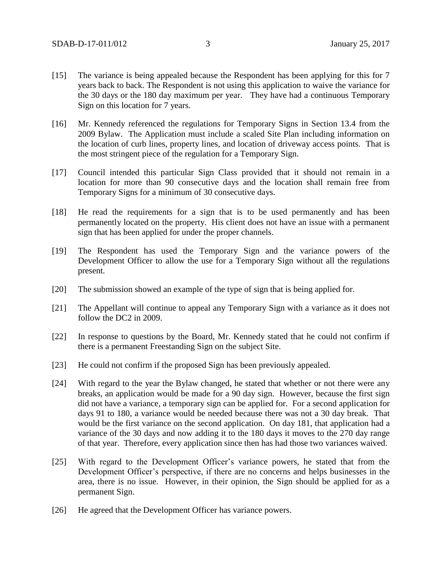- [15] The variance is being appealed because the Respondent has been applying for this for 7 years back to back. The Respondent is not using this application to waive the variance for the 30 days or the 180 day maximum per year. They have had a continuous Temporary Sign on this location for 7 years.
- [16] Mr. Kennedy referenced the regulations for Temporary Signs in Section 13.4 from the 2009 Bylaw. The Application must include a scaled Site Plan including information on the location of curb lines, property lines, and location of driveway access points. That is the most stringent piece of the regulation for a Temporary Sign.
- [17] Council intended this particular Sign Class provided that it should not remain in a location for more than 90 consecutive days and the location shall remain free from Temporary Signs for a minimum of 30 consecutive days.
- [18] He read the requirements for a sign that is to be used permanently and has been permanently located on the property. His client does not have an issue with a permanent sign that has been applied for under the proper channels.
- [19] The Respondent has used the Temporary Sign and the variance powers of the Development Officer to allow the use for a Temporary Sign without all the regulations present.
- [20] The submission showed an example of the type of sign that is being applied for.
- [21] The Appellant will continue to appeal any Temporary Sign with a variance as it does not follow the DC2 in 2009.
- [22] In response to questions by the Board, Mr. Kennedy stated that he could not confirm if there is a permanent Freestanding Sign on the subject Site.
- [23] He could not confirm if the proposed Sign has been previously appealed.
- [24] With regard to the year the Bylaw changed, he stated that whether or not there were any breaks, an application would be made for a 90 day sign. However, because the first sign did not have a variance, a temporary sign can be applied for. For a second application for days 91 to 180, a variance would be needed because there was not a 30 day break. That would be the first variance on the second application. On day 181, that application had a variance of the 30 days and now adding it to the 180 days it moves to the 270 day range of that year. Therefore, every application since then has had those two variances waived.
- [25] With regard to the Development Officer's variance powers, he stated that from the Development Officer's perspective, if there are no concerns and helps businesses in the area, there is no issue. However, in their opinion, the Sign should be applied for as a permanent Sign.
- [26] He agreed that the Development Officer has variance powers.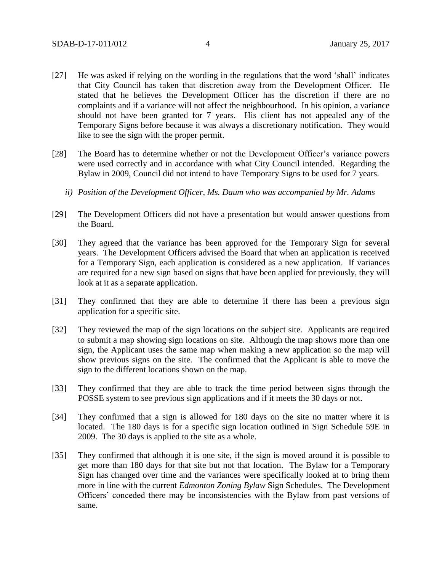- [27] He was asked if relying on the wording in the regulations that the word 'shall' indicates that City Council has taken that discretion away from the Development Officer. He stated that he believes the Development Officer has the discretion if there are no complaints and if a variance will not affect the neighbourhood. In his opinion, a variance should not have been granted for 7 years. His client has not appealed any of the Temporary Signs before because it was always a discretionary notification. They would like to see the sign with the proper permit.
- [28] The Board has to determine whether or not the Development Officer's variance powers were used correctly and in accordance with what City Council intended. Regarding the Bylaw in 2009, Council did not intend to have Temporary Signs to be used for 7 years.
	- *ii) Position of the Development Officer, Ms. Daum who was accompanied by Mr. Adams*
- [29] The Development Officers did not have a presentation but would answer questions from the Board.
- [30] They agreed that the variance has been approved for the Temporary Sign for several years. The Development Officers advised the Board that when an application is received for a Temporary Sign, each application is considered as a new application. If variances are required for a new sign based on signs that have been applied for previously, they will look at it as a separate application.
- [31] They confirmed that they are able to determine if there has been a previous sign application for a specific site.
- [32] They reviewed the map of the sign locations on the subject site. Applicants are required to submit a map showing sign locations on site. Although the map shows more than one sign, the Applicant uses the same map when making a new application so the map will show previous signs on the site. The confirmed that the Applicant is able to move the sign to the different locations shown on the map.
- [33] They confirmed that they are able to track the time period between signs through the POSSE system to see previous sign applications and if it meets the 30 days or not.
- [34] They confirmed that a sign is allowed for 180 days on the site no matter where it is located. The 180 days is for a specific sign location outlined in Sign Schedule 59E in 2009. The 30 days is applied to the site as a whole.
- [35] They confirmed that although it is one site, if the sign is moved around it is possible to get more than 180 days for that site but not that location. The Bylaw for a Temporary Sign has changed over time and the variances were specifically looked at to bring them more in line with the current *Edmonton Zoning Bylaw* Sign Schedules. The Development Officers' conceded there may be inconsistencies with the Bylaw from past versions of same.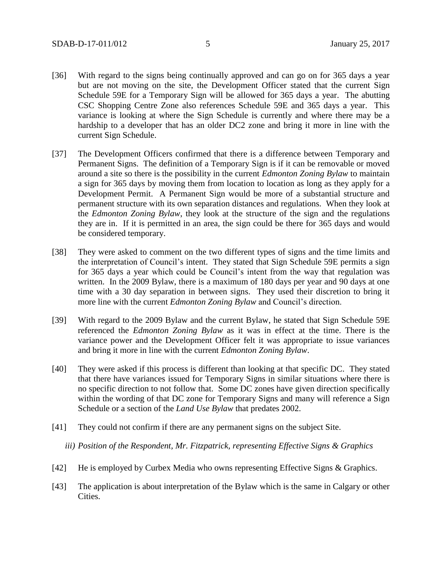- [36] With regard to the signs being continually approved and can go on for 365 days a year but are not moving on the site, the Development Officer stated that the current Sign Schedule 59E for a Temporary Sign will be allowed for 365 days a year. The abutting CSC Shopping Centre Zone also references Schedule 59E and 365 days a year. This variance is looking at where the Sign Schedule is currently and where there may be a hardship to a developer that has an older DC2 zone and bring it more in line with the current Sign Schedule.
- [37] The Development Officers confirmed that there is a difference between Temporary and Permanent Signs. The definition of a Temporary Sign is if it can be removable or moved around a site so there is the possibility in the current *Edmonton Zoning Bylaw* to maintain a sign for 365 days by moving them from location to location as long as they apply for a Development Permit. A Permanent Sign would be more of a substantial structure and permanent structure with its own separation distances and regulations. When they look at the *Edmonton Zoning Bylaw*, they look at the structure of the sign and the regulations they are in. If it is permitted in an area, the sign could be there for 365 days and would be considered temporary.
- [38] They were asked to comment on the two different types of signs and the time limits and the interpretation of Council's intent. They stated that Sign Schedule 59E permits a sign for 365 days a year which could be Council's intent from the way that regulation was written. In the 2009 Bylaw, there is a maximum of 180 days per year and 90 days at one time with a 30 day separation in between signs. They used their discretion to bring it more line with the current *Edmonton Zoning Bylaw* and Council's direction.
- [39] With regard to the 2009 Bylaw and the current Bylaw, he stated that Sign Schedule 59E referenced the *Edmonton Zoning Bylaw* as it was in effect at the time. There is the variance power and the Development Officer felt it was appropriate to issue variances and bring it more in line with the current *Edmonton Zoning Bylaw*.
- [40] They were asked if this process is different than looking at that specific DC. They stated that there have variances issued for Temporary Signs in similar situations where there is no specific direction to not follow that. Some DC zones have given direction specifically within the wording of that DC zone for Temporary Signs and many will reference a Sign Schedule or a section of the *Land Use Bylaw* that predates 2002.
- [41] They could not confirm if there are any permanent signs on the subject Site.

*iii) Position of the Respondent, Mr. Fitzpatrick, representing Effective Signs & Graphics* 

- [42] He is employed by Curbex Media who owns representing Effective Signs & Graphics.
- [43] The application is about interpretation of the Bylaw which is the same in Calgary or other Cities.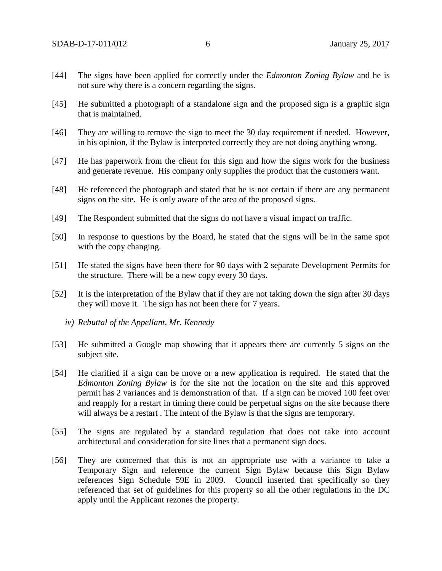- [44] The signs have been applied for correctly under the *Edmonton Zoning Bylaw* and he is not sure why there is a concern regarding the signs.
- [45] He submitted a photograph of a standalone sign and the proposed sign is a graphic sign that is maintained.
- [46] They are willing to remove the sign to meet the 30 day requirement if needed. However, in his opinion, if the Bylaw is interpreted correctly they are not doing anything wrong.
- [47] He has paperwork from the client for this sign and how the signs work for the business and generate revenue. His company only supplies the product that the customers want.
- [48] He referenced the photograph and stated that he is not certain if there are any permanent signs on the site. He is only aware of the area of the proposed signs.
- [49] The Respondent submitted that the signs do not have a visual impact on traffic.
- [50] In response to questions by the Board, he stated that the signs will be in the same spot with the copy changing.
- [51] He stated the signs have been there for 90 days with 2 separate Development Permits for the structure. There will be a new copy every 30 days.
- [52] It is the interpretation of the Bylaw that if they are not taking down the sign after 30 days they will move it. The sign has not been there for 7 years.
	- *iv) Rebuttal of the Appellant, Mr. Kennedy*
- [53] He submitted a Google map showing that it appears there are currently 5 signs on the subject site.
- [54] He clarified if a sign can be move or a new application is required. He stated that the *Edmonton Zoning Bylaw* is for the site not the location on the site and this approved permit has 2 variances and is demonstration of that. If a sign can be moved 100 feet over and reapply for a restart in timing there could be perpetual signs on the site because there will always be a restart. The intent of the Bylaw is that the signs are temporary.
- [55] The signs are regulated by a standard regulation that does not take into account architectural and consideration for site lines that a permanent sign does.
- [56] They are concerned that this is not an appropriate use with a variance to take a Temporary Sign and reference the current Sign Bylaw because this Sign Bylaw references Sign Schedule 59E in 2009. Council inserted that specifically so they referenced that set of guidelines for this property so all the other regulations in the DC apply until the Applicant rezones the property.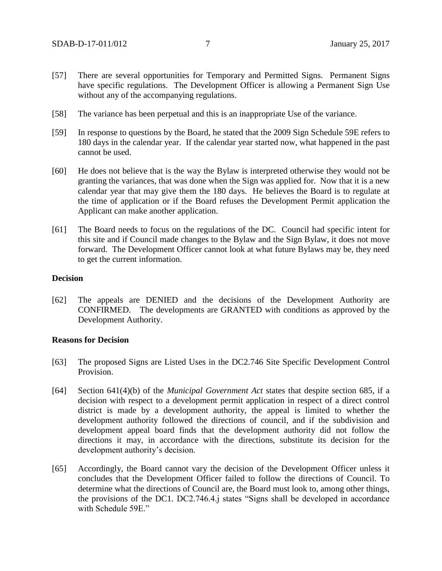- [57] There are several opportunities for Temporary and Permitted Signs. Permanent Signs have specific regulations. The Development Officer is allowing a Permanent Sign Use without any of the accompanying regulations.
- [58] The variance has been perpetual and this is an inappropriate Use of the variance.
- [59] In response to questions by the Board, he stated that the 2009 Sign Schedule 59E refers to 180 days in the calendar year. If the calendar year started now, what happened in the past cannot be used.
- [60] He does not believe that is the way the Bylaw is interpreted otherwise they would not be granting the variances, that was done when the Sign was applied for. Now that it is a new calendar year that may give them the 180 days. He believes the Board is to regulate at the time of application or if the Board refuses the Development Permit application the Applicant can make another application.
- [61] The Board needs to focus on the regulations of the DC. Council had specific intent for this site and if Council made changes to the Bylaw and the Sign Bylaw, it does not move forward. The Development Officer cannot look at what future Bylaws may be, they need to get the current information.

### **Decision**

[62] The appeals are DENIED and the decisions of the Development Authority are CONFIRMED. The developments are GRANTED with conditions as approved by the Development Authority.

#### **Reasons for Decision**

- [63] The proposed Signs are Listed Uses in the DC2.746 Site Specific Development Control Provision.
- [64] Section 641(4)(b) of the *Municipal Government Act* states that despite section 685, if a decision with respect to a development permit application in respect of a direct control district is made by a development authority, the appeal is limited to whether the development authority followed the directions of council, and if the subdivision and development appeal board finds that the development authority did not follow the directions it may, in accordance with the directions, substitute its decision for the development authority's decision.
- [65] Accordingly, the Board cannot vary the decision of the Development Officer unless it concludes that the Development Officer failed to follow the directions of Council. To determine what the directions of Council are, the Board must look to, among other things, the provisions of the DC1. DC2.746.4.j states "Signs shall be developed in accordance with Schedule 59E."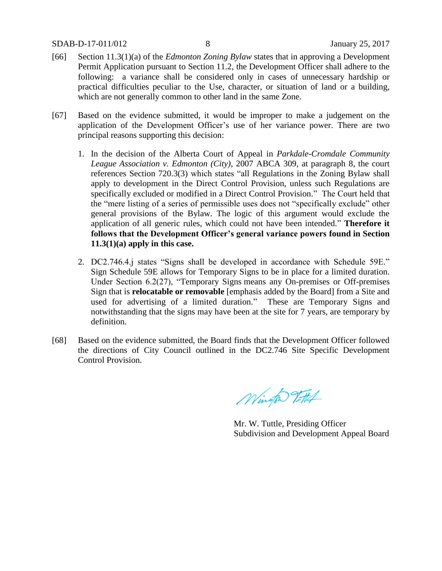- [66] Section 11.3(1)(a) of the *Edmonton Zoning Bylaw* states that in approving a Development Permit Application pursuant to Section 11.2, the Development Officer shall adhere to the following: a variance shall be considered only in cases of unnecessary hardship or practical difficulties peculiar to the Use, character, or situation of land or a building, which are not generally common to other land in the same Zone.
- [67] Based on the evidence submitted, it would be improper to make a judgement on the application of the Development Officer's use of her variance power. There are two principal reasons supporting this decision:
	- 1. In the decision of the Alberta Court of Appeal in *Parkdale-Cromdale Community League Association v. Edmonton (City)*, 2007 ABCA 309, at paragraph 8, the court references Section 720.3(3) which states "all Regulations in the Zoning Bylaw shall apply to development in the Direct Control Provision, unless such Regulations are specifically excluded or modified in a Direct Control Provision." The Court held that the "mere listing of a series of permissible uses does not "specifically exclude" other general provisions of the Bylaw. The logic of this argument would exclude the application of all generic rules, which could not have been intended." **Therefore it follows that the Development Officer's general variance powers found in Section 11.3(1)(a) apply in this case.**
	- 2. DC2.746.4.j states "Signs shall be developed in accordance with Schedule 59E." Sign Schedule 59E allows for Temporary Signs to be in place for a limited duration. Under Section 6.2(27), "Temporary Signs means any On-premises or Off-premises Sign that is **relocatable or removable** [emphasis added by the Board] from a Site and used for advertising of a limited duration." These are Temporary Signs and notwithstanding that the signs may have been at the site for 7 years, are temporary by definition.
- [68] Based on the evidence submitted, the Board finds that the Development Officer followed the directions of City Council outlined in the DC2.746 Site Specific Development Control Provision.

Wington Tottel

Mr. W. Tuttle, Presiding Officer Subdivision and Development Appeal Board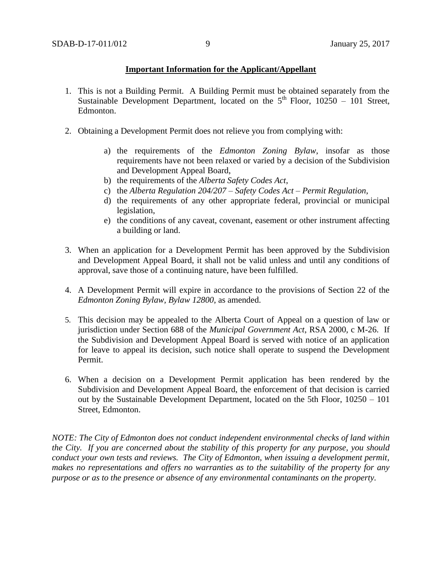### **Important Information for the Applicant/Appellant**

- 1. This is not a Building Permit. A Building Permit must be obtained separately from the Sustainable Development Department, located on the  $5<sup>th</sup>$  Floor, 10250 – 101 Street, Edmonton.
- 2. Obtaining a Development Permit does not relieve you from complying with:
	- a) the requirements of the *Edmonton Zoning Bylaw*, insofar as those requirements have not been relaxed or varied by a decision of the Subdivision and Development Appeal Board,
	- b) the requirements of the *Alberta Safety Codes Act*,
	- c) the *Alberta Regulation 204/207 – Safety Codes Act – Permit Regulation*,
	- d) the requirements of any other appropriate federal, provincial or municipal legislation,
	- e) the conditions of any caveat, covenant, easement or other instrument affecting a building or land.
- 3. When an application for a Development Permit has been approved by the Subdivision and Development Appeal Board, it shall not be valid unless and until any conditions of approval, save those of a continuing nature, have been fulfilled.
- 4. A Development Permit will expire in accordance to the provisions of Section 22 of the *Edmonton Zoning Bylaw, Bylaw 12800*, as amended.
- 5. This decision may be appealed to the Alberta Court of Appeal on a question of law or jurisdiction under Section 688 of the *Municipal Government Act*, RSA 2000, c M-26. If the Subdivision and Development Appeal Board is served with notice of an application for leave to appeal its decision, such notice shall operate to suspend the Development Permit.
- 6. When a decision on a Development Permit application has been rendered by the Subdivision and Development Appeal Board, the enforcement of that decision is carried out by the Sustainable Development Department, located on the 5th Floor, 10250 – 101 Street, Edmonton.

*NOTE: The City of Edmonton does not conduct independent environmental checks of land within the City. If you are concerned about the stability of this property for any purpose, you should conduct your own tests and reviews. The City of Edmonton, when issuing a development permit, makes no representations and offers no warranties as to the suitability of the property for any purpose or as to the presence or absence of any environmental contaminants on the property.*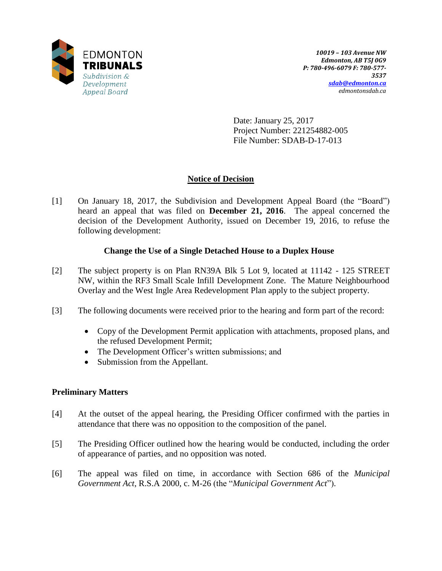

Date: January 25, 2017 Project Number: 221254882-005 File Number: SDAB-D-17-013

# **Notice of Decision**

[1] On January 18, 2017, the Subdivision and Development Appeal Board (the "Board") heard an appeal that was filed on **December 21, 2016**. The appeal concerned the decision of the Development Authority, issued on December 19, 2016, to refuse the following development:

## **Change the Use of a Single Detached House to a Duplex House**

- [2] The subject property is on Plan RN39A Blk 5 Lot 9, located at 11142 125 STREET NW, within the RF3 Small Scale Infill Development Zone. The Mature Neighbourhood Overlay and the West Ingle Area Redevelopment Plan apply to the subject property.
- [3] The following documents were received prior to the hearing and form part of the record:
	- Copy of the Development Permit application with attachments, proposed plans, and the refused Development Permit;
	- The Development Officer's written submissions; and
	- Submission from the Appellant.

## **Preliminary Matters**

- [4] At the outset of the appeal hearing, the Presiding Officer confirmed with the parties in attendance that there was no opposition to the composition of the panel.
- [5] The Presiding Officer outlined how the hearing would be conducted, including the order of appearance of parties, and no opposition was noted.
- [6] The appeal was filed on time, in accordance with Section 686 of the *Municipal Government Act*, R.S.A 2000, c. M-26 (the "*Municipal Government Act*").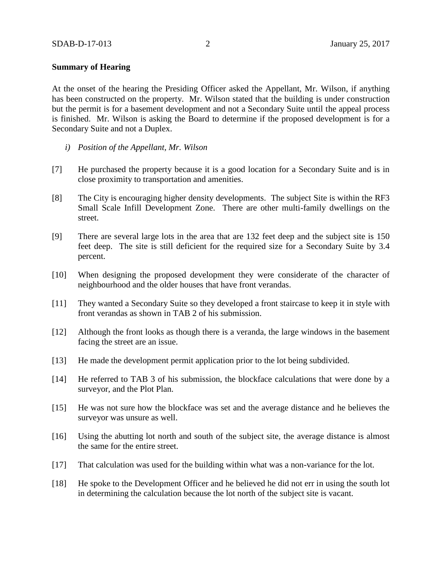### **Summary of Hearing**

At the onset of the hearing the Presiding Officer asked the Appellant, Mr. Wilson, if anything has been constructed on the property. Mr. Wilson stated that the building is under construction but the permit is for a basement development and not a Secondary Suite until the appeal process is finished. Mr. Wilson is asking the Board to determine if the proposed development is for a Secondary Suite and not a Duplex.

- *i) Position of the Appellant, Mr. Wilson*
- [7] He purchased the property because it is a good location for a Secondary Suite and is in close proximity to transportation and amenities.
- [8] The City is encouraging higher density developments. The subject Site is within the RF3 Small Scale Infill Development Zone. There are other multi-family dwellings on the street.
- [9] There are several large lots in the area that are 132 feet deep and the subject site is 150 feet deep. The site is still deficient for the required size for a Secondary Suite by 3.4 percent.
- [10] When designing the proposed development they were considerate of the character of neighbourhood and the older houses that have front verandas.
- [11] They wanted a Secondary Suite so they developed a front staircase to keep it in style with front verandas as shown in TAB 2 of his submission.
- [12] Although the front looks as though there is a veranda, the large windows in the basement facing the street are an issue.
- [13] He made the development permit application prior to the lot being subdivided.
- [14] He referred to TAB 3 of his submission, the blockface calculations that were done by a surveyor, and the Plot Plan.
- [15] He was not sure how the blockface was set and the average distance and he believes the surveyor was unsure as well.
- [16] Using the abutting lot north and south of the subject site, the average distance is almost the same for the entire street.
- [17] That calculation was used for the building within what was a non-variance for the lot.
- [18] He spoke to the Development Officer and he believed he did not err in using the south lot in determining the calculation because the lot north of the subject site is vacant.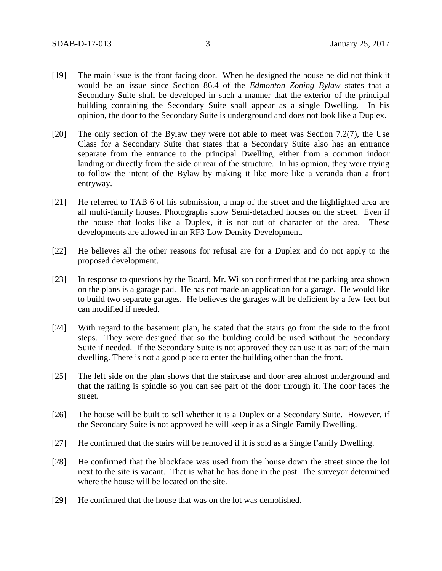- [19] The main issue is the front facing door. When he designed the house he did not think it would be an issue since Section 86.4 of the *Edmonton Zoning Bylaw* states that a Secondary Suite shall be developed in such a manner that the exterior of the principal building containing the Secondary Suite shall appear as a single Dwelling. In his opinion, the door to the Secondary Suite is underground and does not look like a Duplex.
- [20] The only section of the Bylaw they were not able to meet was Section 7.2(7), the Use Class for a Secondary Suite that states that a Secondary Suite also has an entrance separate from the entrance to the principal Dwelling, either from a common indoor landing or directly from the side or rear of the structure. In his opinion, they were trying to follow the intent of the Bylaw by making it like more like a veranda than a front entryway.
- [21] He referred to TAB 6 of his submission, a map of the street and the highlighted area are all multi-family houses. Photographs show Semi-detached houses on the street. Even if the house that looks like a Duplex, it is not out of character of the area. These developments are allowed in an RF3 Low Density Development.
- [22] He believes all the other reasons for refusal are for a Duplex and do not apply to the proposed development.
- [23] In response to questions by the Board, Mr. Wilson confirmed that the parking area shown on the plans is a garage pad. He has not made an application for a garage. He would like to build two separate garages. He believes the garages will be deficient by a few feet but can modified if needed.
- [24] With regard to the basement plan, he stated that the stairs go from the side to the front steps. They were designed that so the building could be used without the Secondary Suite if needed. If the Secondary Suite is not approved they can use it as part of the main dwelling. There is not a good place to enter the building other than the front.
- [25] The left side on the plan shows that the staircase and door area almost underground and that the railing is spindle so you can see part of the door through it. The door faces the street.
- [26] The house will be built to sell whether it is a Duplex or a Secondary Suite. However, if the Secondary Suite is not approved he will keep it as a Single Family Dwelling.
- [27] He confirmed that the stairs will be removed if it is sold as a Single Family Dwelling.
- [28] He confirmed that the blockface was used from the house down the street since the lot next to the site is vacant. That is what he has done in the past. The surveyor determined where the house will be located on the site.
- [29] He confirmed that the house that was on the lot was demolished.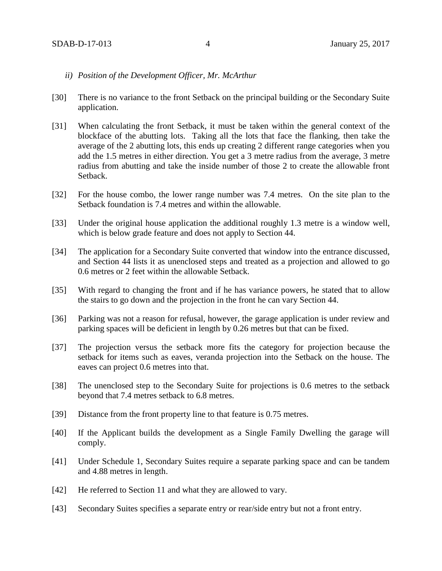### *ii) Position of the Development Officer, Mr. McArthur*

- [30] There is no variance to the front Setback on the principal building or the Secondary Suite application.
- [31] When calculating the front Setback, it must be taken within the general context of the blockface of the abutting lots. Taking all the lots that face the flanking, then take the average of the 2 abutting lots, this ends up creating 2 different range categories when you add the 1.5 metres in either direction. You get a 3 metre radius from the average, 3 metre radius from abutting and take the inside number of those 2 to create the allowable front Setback.
- [32] For the house combo, the lower range number was 7.4 metres. On the site plan to the Setback foundation is 7.4 metres and within the allowable.
- [33] Under the original house application the additional roughly 1.3 metre is a window well, which is below grade feature and does not apply to Section 44.
- [34] The application for a Secondary Suite converted that window into the entrance discussed, and Section 44 lists it as unenclosed steps and treated as a projection and allowed to go 0.6 metres or 2 feet within the allowable Setback.
- [35] With regard to changing the front and if he has variance powers, he stated that to allow the stairs to go down and the projection in the front he can vary Section 44.
- [36] Parking was not a reason for refusal, however, the garage application is under review and parking spaces will be deficient in length by 0.26 metres but that can be fixed.
- [37] The projection versus the setback more fits the category for projection because the setback for items such as eaves, veranda projection into the Setback on the house. The eaves can project 0.6 metres into that.
- [38] The unenclosed step to the Secondary Suite for projections is 0.6 metres to the setback beyond that 7.4 metres setback to 6.8 metres.
- [39] Distance from the front property line to that feature is 0.75 metres.
- [40] If the Applicant builds the development as a Single Family Dwelling the garage will comply.
- [41] Under Schedule 1, Secondary Suites require a separate parking space and can be tandem and 4.88 metres in length.
- [42] He referred to Section 11 and what they are allowed to vary.
- [43] Secondary Suites specifies a separate entry or rear/side entry but not a front entry.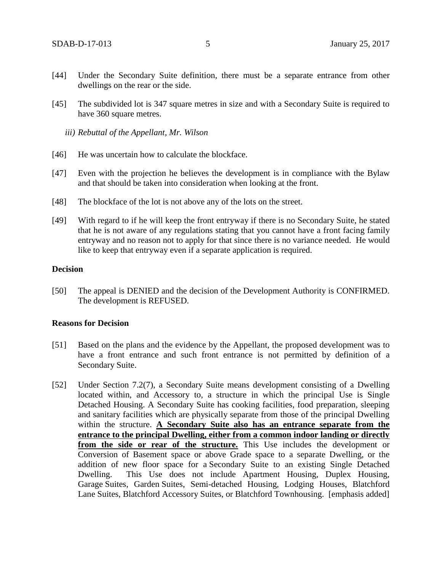- [44] Under the Secondary Suite definition, there must be a separate entrance from other dwellings on the rear or the side.
- [45] The subdivided lot is 347 square metres in size and with a Secondary Suite is required to have 360 square metres.
	- *iii) Rebuttal of the Appellant, Mr. Wilson*
- [46] He was uncertain how to calculate the blockface.
- [47] Even with the projection he believes the development is in compliance with the Bylaw and that should be taken into consideration when looking at the front.
- [48] The blockface of the lot is not above any of the lots on the street.
- [49] With regard to if he will keep the front entryway if there is no Secondary Suite, he stated that he is not aware of any regulations stating that you cannot have a front facing family entryway and no reason not to apply for that since there is no variance needed. He would like to keep that entryway even if a separate application is required.

### **Decision**

[50] The appeal is DENIED and the decision of the Development Authority is CONFIRMED. The development is REFUSED.

#### **Reasons for Decision**

- [51] Based on the plans and the evidence by the Appellant, the proposed development was to have a front entrance and such front entrance is not permitted by definition of a Secondary Suite.
- [52] Under Section 7.2(7), a Secondary Suite means development consisting of a Dwelling located within, and Accessory to, a structure in which the principal Use is Single Detached Housing. A Secondary Suite has cooking facilities, food preparation, sleeping and sanitary facilities which are physically separate from those of the principal Dwelling within the structure. **A Secondary Suite also has an entrance separate from the entrance to the principal Dwelling, either from a common indoor landing or directly from the side or rear of the structure.** This Use includes the development or Conversion of Basement space or above Grade space to a separate Dwelling, or the addition of new floor space for a Secondary Suite to an existing Single Detached Dwelling. This Use does not include Apartment Housing, Duplex Housing, Garage Suites, Garden Suites, Semi-detached Housing, Lodging Houses, Blatchford Lane Suites, Blatchford Accessory Suites, or Blatchford Townhousing. [emphasis added]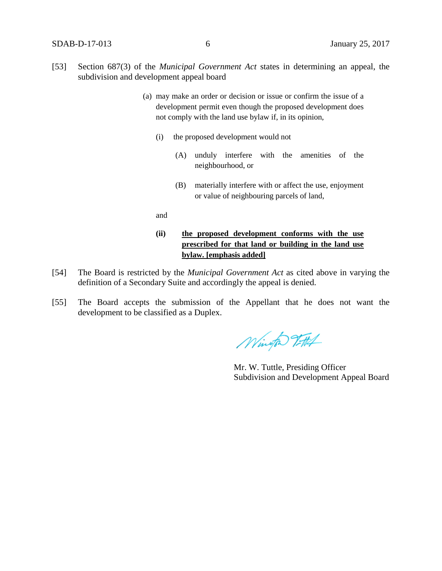- [53] Section 687(3) of the *Municipal Government Act* states in determining an appeal, the subdivision and development appeal board
	- (a) may make an order or decision or issue or confirm the issue of a development permit even though the proposed development does not comply with the land use bylaw if, in its opinion,
		- (i) the proposed development would not
			- (A) unduly interfere with the amenities of the neighbourhood, or
			- (B) materially interfere with or affect the use, enjoyment or value of neighbouring parcels of land,

and

## **(ii) the proposed development conforms with the use prescribed for that land or building in the land use bylaw. [emphasis added]**

- [54] The Board is restricted by the *Municipal Government Act* as cited above in varying the definition of a Secondary Suite and accordingly the appeal is denied.
- [55] The Board accepts the submission of the Appellant that he does not want the development to be classified as a Duplex.

Wington Titlet

Mr. W. Tuttle, Presiding Officer Subdivision and Development Appeal Board